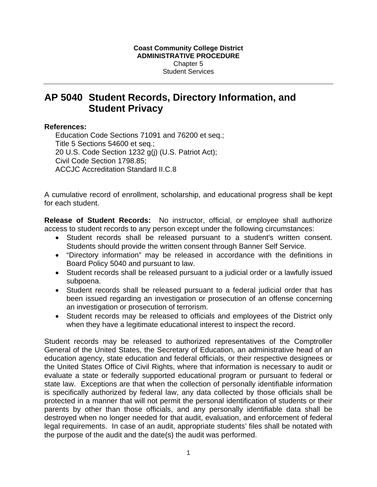# **AP 5040 Student Records, Directory Information, and Student Privacy**

### **References:**

Education Code Sections 71091 and 76200 et seq.; Title 5 Sections 54600 et seq.; 20 U.S. Code Section 1232 g(j) (U.S. Patriot Act); Civil Code Section 1798.85; ACCJC Accreditation Standard II.C.8

A cumulative record of enrollment, scholarship, and educational progress shall be kept for each student.

**Release of Student Records:** No instructor, official, or employee shall authorize access to student records to any person except under the following circumstances:

- Student records shall be released pursuant to a student's written consent. Students should provide the written consent through Banner Self Service.
- "Directory information" may be released in accordance with the definitions in Board Policy 5040 and pursuant to law.
- Student records shall be released pursuant to a judicial order or a lawfully issued subpoena.
- Student records shall be released pursuant to a federal judicial order that has been issued regarding an investigation or prosecution of an offense concerning an investigation or prosecution of terrorism.
- Student records may be released to officials and employees of the District only when they have a legitimate educational interest to inspect the record.

Student records may be released to authorized representatives of the Comptroller General of the United States, the Secretary of Education, an administrative head of an education agency, state education and federal officials, or their respective designees or the United States Office of Civil Rights, where that information is necessary to audit or evaluate a state or federally supported educational program or pursuant to federal or state law. Exceptions are that when the collection of personally identifiable information is specifically authorized by federal law, any data collected by those officials shall be protected in a manner that will not permit the personal identification of students or their parents by other than those officials, and any personally identifiable data shall be destroyed when no longer needed for that audit, evaluation, and enforcement of federal legal requirements. In case of an audit, appropriate students' files shall be notated with the purpose of the audit and the date(s) the audit was performed.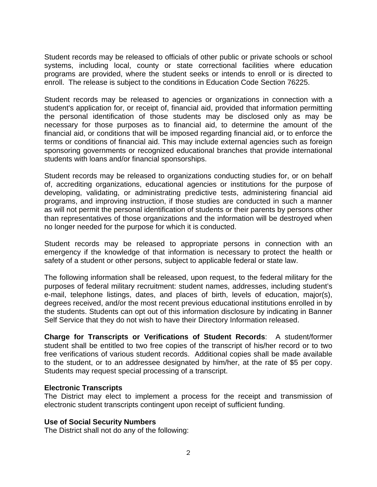Student records may be released to officials of other public or private schools or school systems, including local, county or state correctional facilities where education programs are provided, where the student seeks or intends to enroll or is directed to enroll. The release is subject to the conditions in Education Code Section 76225.

Student records may be released to agencies or organizations in connection with a student's application for, or receipt of, financial aid, provided that information permitting the personal identification of those students may be disclosed only as may be necessary for those purposes as to financial aid, to determine the amount of the financial aid, or conditions that will be imposed regarding financial aid, or to enforce the terms or conditions of financial aid. This may include external agencies such as foreign sponsoring governments or recognized educational branches that provide international students with loans and/or financial sponsorships.

Student records may be released to organizations conducting studies for, or on behalf of, accrediting organizations, educational agencies or institutions for the purpose of developing, validating, or administrating predictive tests, administering financial aid programs, and improving instruction, if those studies are conducted in such a manner as will not permit the personal identification of students or their parents by persons other than representatives of those organizations and the information will be destroyed when no longer needed for the purpose for which it is conducted.

Student records may be released to appropriate persons in connection with an emergency if the knowledge of that information is necessary to protect the health or safety of a student or other persons, subject to applicable federal or state law.

The following information shall be released, upon request, to the federal military for the purposes of federal military recruitment: student names, addresses, including student's e-mail, telephone listings, dates, and places of birth, levels of education, major(s), degrees received, and/or the most recent previous educational institutions enrolled in by the students. Students can opt out of this information disclosure by indicating in Banner Self Service that they do not wish to have their Directory Information released.

**Charge for Transcripts or Verifications of Student Records**: A student/former student shall be entitled to two free copies of the transcript of his/her record or to two free verifications of various student records. Additional copies shall be made available to the student, or to an addressee designated by him/her, at the rate of \$5 per copy. Students may request special processing of a transcript.

## **Electronic Transcripts**

The District may elect to implement a process for the receipt and transmission of electronic student transcripts contingent upon receipt of sufficient funding.

## **Use of Social Security Numbers**

The District shall not do any of the following: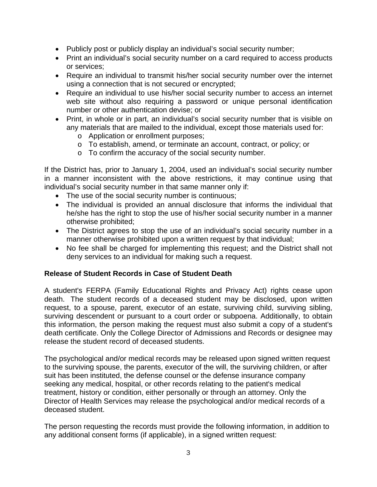- Publicly post or publicly display an individual's social security number;
- Print an individual's social security number on a card required to access products or services;
- Require an individual to transmit his/her social security number over the internet using a connection that is not secured or encrypted;
- Require an individual to use his/her social security number to access an internet web site without also requiring a password or unique personal identification number or other authentication devise; or
- Print, in whole or in part, an individual's social security number that is visible on any materials that are mailed to the individual, except those materials used for:
	- o Application or enrollment purposes;
	- o To establish, amend, or terminate an account, contract, or policy; or
	- o To confirm the accuracy of the social security number.

If the District has, prior to January 1, 2004, used an individual's social security number in a manner inconsistent with the above restrictions, it may continue using that individual's social security number in that same manner only if:

- The use of the social security number is continuous;
- The individual is provided an annual disclosure that informs the individual that he/she has the right to stop the use of his/her social security number in a manner otherwise prohibited;
- The District agrees to stop the use of an individual's social security number in a manner otherwise prohibited upon a written request by that individual;
- No fee shall be charged for implementing this request; and the District shall not deny services to an individual for making such a request.

## **Release of Student Records in Case of Student Death**

A student's FERPA (Family Educational Rights and Privacy Act) rights cease upon death. The student records of a deceased student may be disclosed, upon written request, to a spouse, parent, executor of an estate, surviving child, surviving sibling, surviving descendent or pursuant to a court order or subpoena. Additionally, to obtain this information, the person making the request must also submit a copy of a student's death certificate. Only the College Director of Admissions and Records or designee may release the student record of deceased students.

The psychological and/or medical records may be released upon signed written request to the surviving spouse, the parents, executor of the will, the surviving children, or after suit has been instituted, the defense counsel or the defense insurance company seeking any medical, hospital, or other records relating to the patient's medical treatment, history or condition, either personally or through an attorney. Only the Director of Health Services may release the psychological and/or medical records of a deceased student.

The person requesting the records must provide the following information, in addition to any additional consent forms (if applicable), in a signed written request: